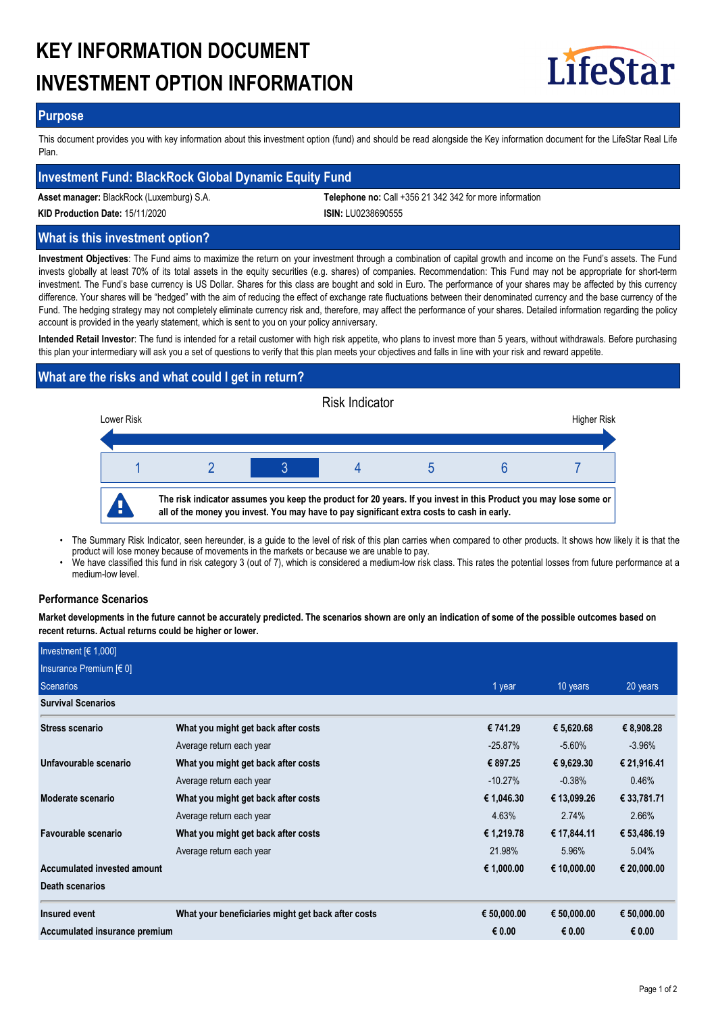# **KEY INFORMATION DOCUMENT INVESTMENT OPTION INFORMATION**



### **Purpose**

This document provides you with key information about this investment option (fund) and should be read alongside the Key information document for the LifeStar Real Life Plan.

## **Investment Fund: BlackRock Global Dynamic Equity Fund**

**Asset manager:** BlackRock (Luxemburg) S.A. **Telephone no:** Call +356 21 342 342 for more information

**KID Production Date:** 15/11/2020 **ISIN:** LU0238690555

# **What is this investment option?**

**Investment Objectives**: The Fund aims to maximize the return on your investment through a combination of capital growth and income on the Fund's assets. The Fund invests globally at least 70% of its total assets in the equity securities (e.g. shares) of companies. Recommendation: This Fund may not be appropriate for short-term investment. The Fund's base currency is US Dollar. Shares for this class are bought and sold in Euro. The performance of your shares may be affected by this currency difference. Your shares will be "hedged" with the aim of reducing the effect of exchange rate fluctuations between their denominated currency and the base currency of the Fund. The hedging strategy may not completely eliminate currency risk and, therefore, may affect the performance of your shares. Detailed information regarding the policy account is provided in the yearly statement, which is sent to you on your policy anniversary.

**Intended Retail Investor**: The fund is intended for a retail customer with high risk appetite, who plans to invest more than 5 years, without withdrawals. Before purchasing this plan your intermediary will ask you a set of questions to verify that this plan meets your objectives and falls in line with your risk and reward appetite.

# **What are the risks and what could I get in return?**



- The Summary Risk Indicator, seen hereunder, is a guide to the level of risk of this plan carries when compared to other products. It shows how likely it is that the product will lose money because of movements in the markets or because we are unable to pay. •
- We have classified this fund in risk category 3 (out of 7), which is considered a medium-low risk class. This rates the potential losses from future performance at a medium-low level. •

### **Performance Scenarios**

**Market developments in the future cannot be accurately predicted. The scenarios shown are only an indication of some of the possible outcomes based on recent returns. Actual returns could be higher or lower.**

| Investment $[6 1,000]$        |                                                    |             |             |             |
|-------------------------------|----------------------------------------------------|-------------|-------------|-------------|
| Insurance Premium [€ 0]       |                                                    |             |             |             |
| Scenarios                     |                                                    | 1 year      | 10 years    | 20 years    |
| <b>Survival Scenarios</b>     |                                                    |             |             |             |
| <b>Stress scenario</b>        | What you might get back after costs                | € 741.29    | € 5,620.68  | € 8,908.28  |
|                               | Average return each year                           | $-25.87%$   | $-5.60\%$   | $-3.96%$    |
| Unfavourable scenario         | What you might get back after costs                | € 897.25    | € 9,629.30  | € 21,916.41 |
|                               | Average return each year                           | $-10.27\%$  | $-0.38%$    | 0.46%       |
| Moderate scenario             | What you might get back after costs                | € 1,046.30  | € 13,099.26 | € 33,781.71 |
|                               | Average return each year                           | 4.63%       | 2.74%       | 2.66%       |
| Favourable scenario           | What you might get back after costs                | € 1,219.78  | € 17,844.11 | € 53,486.19 |
|                               | Average return each year                           | 21.98%      | 5.96%       | 5.04%       |
| Accumulated invested amount   |                                                    | € 1,000.00  | € 10,000.00 | € 20,000.00 |
| <b>Death scenarios</b>        |                                                    |             |             |             |
| Insured event                 | What your beneficiaries might get back after costs | € 50,000.00 | € 50,000.00 | € 50,000.00 |
| Accumulated insurance premium |                                                    | € 0.00      | € 0.00      | € 0.00      |